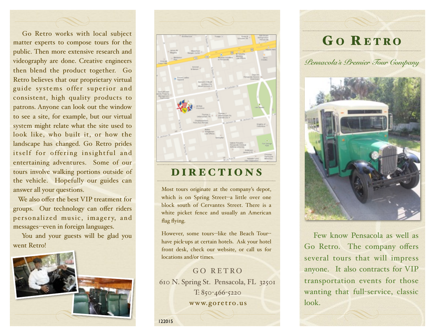Go Retro works with local subject matter experts to compose tours for the public. Then more extensive research and videography are done. Creative engineers then blend the product together. Go Retro believes that our proprietary virtual guide systems offer superior and consistent, high quality products to patrons. Anyone can look out the window to see a site, for example, but our virtual system might relate what the site used to look like, who built it, or how the landscape has changed. Go Retro prides itself for offering insightful and entertaining adventures. Some of our tours involve walking portions outside of the vehicle. Hopefully our guides can answer all your questions.

We also offer the best VIP treatment for groups. Our technology can offer riders personalized music, imagery, and messages--even in foreign languages.

You and your guests will be glad you went Retro!





# DIRECTIONS

Most tours originate at the company's depot, which is on Spring Street--a little over one block south of Cervantes Street. There is a white picket fence and usually an American flag flying.

However, some tours--like the Beach Tour- have pick-ups at certain hotels. Ask your hotel front desk, check our website, or call us for locations and/or times.

### GO RETRO 610 N. Spring St. Pensacola, FL 32501 T: 850-466-5220 [www.goretro.us](http://www.goretro.us)

122015

# GO RETRO

*Pensacola's Premier Tour Company*



 Few know Pensacola as well as Go Retro. The company offers several tours that will impress anyone. It also contracts for VIP transportation events for those wanting that full-service, classic look.